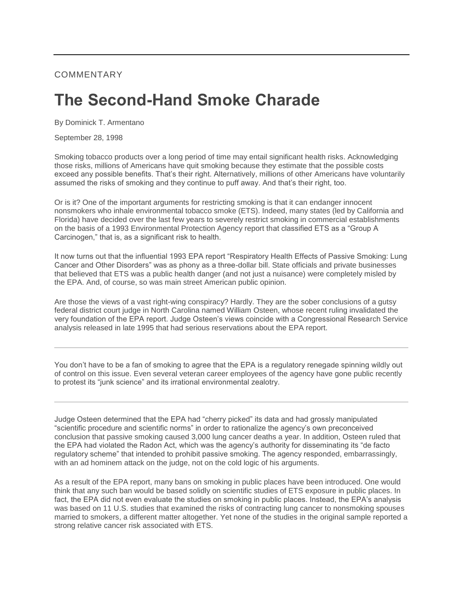## COMMENTARY

## **The Second-Hand Smoke Charade**

By Dominick T. Armentano

September 28, 1998

Smoking tobacco products over a long period of time may entail significant health risks. Acknowledging those risks, millions of Americans have quit smoking because they estimate that the possible costs exceed any possible benefits. That's their right. Alternatively, millions of other Americans have voluntarily assumed the risks of smoking and they continue to puff away. And that's their right, too.

Or is it? One of the important arguments for restricting smoking is that it can endanger innocent nonsmokers who inhale environmental tobacco smoke (ETS). Indeed, many states (led by California and Florida) have decided over the last few years to severely restrict smoking in commercial establishments on the basis of a 1993 Environmental Protection Agency report that classified ETS as a "Group A Carcinogen," that is, as a significant risk to health.

It now turns out that the influential 1993 EPA report "Respiratory Health Effects of Passive Smoking: Lung Cancer and Other Disorders" was as phony as a three-dollar bill. State officials and private businesses that believed that ETS was a public health danger (and not just a nuisance) were completely misled by the EPA. And, of course, so was main street American public opinion.

Are those the views of a vast right-wing conspiracy? Hardly. They are the sober conclusions of a gutsy federal district court judge in North Carolina named William Osteen, whose recent ruling invalidated the very foundation of the EPA report. Judge Osteen's views coincide with a Congressional Research Service analysis released in late 1995 that had serious reservations about the EPA report.

You don't have to be a fan of smoking to agree that the EPA is a regulatory renegade spinning wildly out of control on this issue. Even several veteran career employees of the agency have gone public recently to protest its "junk science" and its irrational environmental zealotry.

Judge Osteen determined that the EPA had "cherry picked" its data and had grossly manipulated "scientific procedure and scientific norms" in order to rationalize the agency's own preconceived conclusion that passive smoking caused 3,000 lung cancer deaths a year. In addition, Osteen ruled that the EPA had violated the Radon Act, which was the agency's authority for disseminating its "de facto regulatory scheme" that intended to prohibit passive smoking. The agency responded, embarrassingly, with an ad hominem attack on the judge, not on the cold logic of his arguments.

As a result of the EPA report, many bans on smoking in public places have been introduced. One would think that any such ban would be based solidly on scientific studies of ETS exposure in public places. In fact, the EPA did not even evaluate the studies on smoking in public places. Instead, the EPA's analysis was based on 11 U.S. studies that examined the risks of contracting lung cancer to nonsmoking spouses married to smokers, a different matter altogether. Yet none of the studies in the original sample reported a strong relative cancer risk associated with ETS.